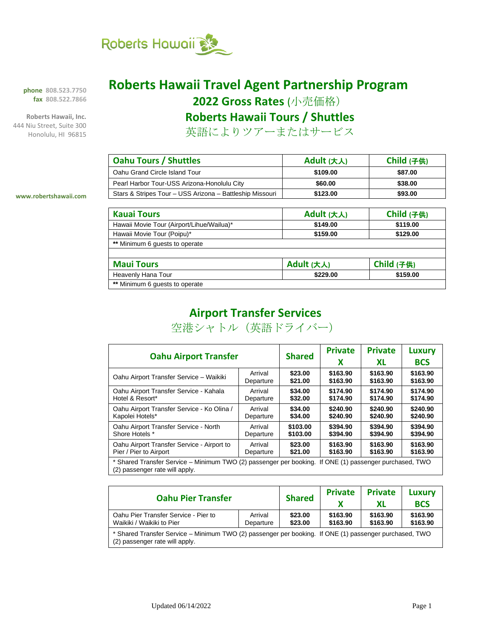

**phone 808.523.7750 fax 808.522.7866**

**Roberts Hawaii, Inc.** 444 Niu Street, Suite 300 Honolulu, HI 96815

**www.robertshawaii.com**

## **Roberts Hawaii Travel Agent Partnership Program**

**2022 Gross Rates** (小売価格)

**Roberts Hawaii Tours / Shuttles**

英語によりツアーまたはサービス

| <b>Oahu Tours / Shuttles</b>                             | Adult (大人) | Child (子供) |
|----------------------------------------------------------|------------|------------|
| Oahu Grand Circle Island Tour                            | \$109.00   | \$87.00    |
| Pearl Harbor Tour-USS Arizona-Honolulu City              | \$60.00    | \$38.00    |
| Stars & Stripes Tour - USS Arizona - Battleship Missouri | \$123.00   | \$93.00    |

| <b>Kauai Tours</b> |   |          |
|--------------------|---|----------|
|                    | . | $\cdots$ |

| <b>Kauai Tours</b>                        | Adult (大人) | Child (子供) |
|-------------------------------------------|------------|------------|
| Hawaii Movie Tour (Airport/Lihue/Wailua)* | \$149.00   | \$119.00   |
| Hawaii Movie Tour (Poipu)*                | \$159.00   | \$129.00   |
| ** Minimum 6 guests to operate            |            |            |
|                                           |            |            |
| <b>Maui Tours</b>                         | Adult (大人) | Child (子供) |
| Heavenly Hana Tour                        | \$229.00   | \$159.00   |
| ** Minimum 6 guests to operate            |            |            |

### **Airport Transfer Services**

空港シャトル(英語ドライバー)

| <b>Oahu Airport Transfer</b>                                                                                                             |           | <b>Shared</b> | <b>Private</b><br>х | <b>Private</b><br>XL | Luxury<br><b>BCS</b> |
|------------------------------------------------------------------------------------------------------------------------------------------|-----------|---------------|---------------------|----------------------|----------------------|
| Oahu Airport Transfer Service - Waikiki                                                                                                  | Arrival   | \$23.00       | \$163.90            | \$163.90             | \$163.90             |
|                                                                                                                                          | Departure | \$21.00       | \$163.90            | \$163.90             | \$163.90             |
| Oahu Airport Transfer Service - Kahala                                                                                                   | Arrival   | \$34.00       | \$174.90            | \$174.90             | \$174.90             |
| Hotel & Resort*                                                                                                                          | Departure | \$32.00       | \$174.90            | \$174.90             | \$174.90             |
| Oahu Airport Transfer Service - Ko Olina /                                                                                               | Arrival   | \$34.00       | \$240.90            | \$240.90             | \$240.90             |
| Kapolei Hotels*                                                                                                                          | Departure | \$34.00       | \$240.90            | \$240.90             | \$240.90             |
| Oahu Airport Transfer Service - North                                                                                                    | Arrival   | \$103.00      | \$394.90            | \$394.90             | \$394.90             |
| Shore Hotels *                                                                                                                           | Departure | \$103.00      | \$394.90            | \$394.90             | \$394.90             |
| Oahu Airport Transfer Service - Airport to                                                                                               | Arrival   | \$23.00       | \$163.90            | \$163.90             | \$163.90             |
| Pier / Pier to Airport                                                                                                                   | Departure | \$21.00       | \$163.90            | \$163.90             | \$163.90             |
| * Shared Transfer Service – Minimum TWO (2) passenger per booking. If ONE (1) passenger purchased, TWO<br>(2) passenger rate will apply. |           |               |                     |                      |                      |

| <b>Oahu Pier Transfer</b>                                                                                                                |                      | <b>Shared</b>      | <b>Private</b>       | <b>Private</b><br>ХL | Luxury<br><b>BCS</b> |
|------------------------------------------------------------------------------------------------------------------------------------------|----------------------|--------------------|----------------------|----------------------|----------------------|
| Oahu Pier Transfer Service - Pier to<br>Waikiki / Waikiki to Pier                                                                        | Arrival<br>Departure | \$23.00<br>\$23.00 | \$163.90<br>\$163.90 | \$163.90<br>\$163.90 | \$163.90<br>\$163.90 |
| * Shared Transfer Service – Minimum TWO (2) passenger per booking. If ONE (1) passenger purchased, TWO<br>(2) passenger rate will apply. |                      |                    |                      |                      |                      |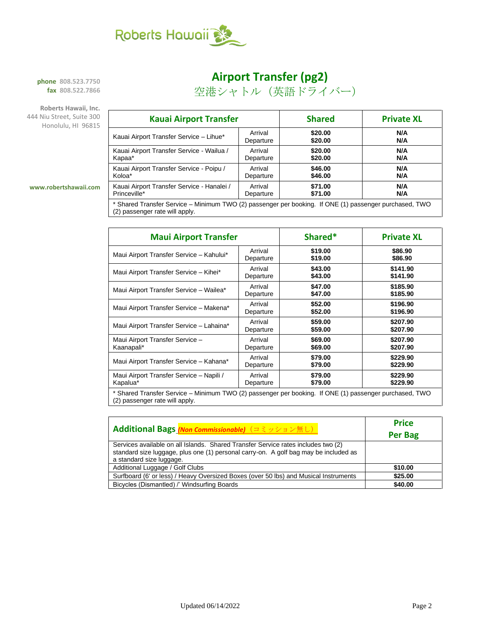

### **Airport Transfer (pg2)**

空港シャトル(英語ドライバー)

**phone 808.523.7750 fax 808.522.7866**

**Roberts Hawaii, Inc.** 444 Niu Street, Suite 300 Honolulu, HI 96815

| <b>Kauai Airport Transfer</b>                                                                          |           | <b>Shared</b> | <b>Private XL</b> |  |
|--------------------------------------------------------------------------------------------------------|-----------|---------------|-------------------|--|
| Kauai Airport Transfer Service - Lihue*                                                                | Arrival   | \$20.00       | N/A               |  |
|                                                                                                        | Departure | \$20.00       | N/A               |  |
| Kauai Airport Transfer Service - Wailua /                                                              | Arrival   | \$20.00       | N/A               |  |
| Kapaa*                                                                                                 | Departure | \$20.00       | N/A               |  |
| Kauai Airport Transfer Service - Poipu /                                                               | Arrival   | \$46.00       | N/A               |  |
| Koloa*                                                                                                 | Departure | \$46.00       | N/A               |  |
| Kauai Airport Transfer Service - Hanalei /                                                             | Arrival   | \$71.00       | N/A               |  |
| Princeville*                                                                                           | Departure | \$71.00       | N/A               |  |
| * Shared Transfer Service – Minimum TWO (2) passenger per booking. If ONE (1) passenger purchased, TWO |           |               |                   |  |

#### **www.robertshawaii.com**

(2) passenger per booking. If ONE (1) passenger p (2) passenger rate will apply.

| <b>Maui Airport Transfer</b>                                                                        |           | Shared* | <b>Private XL</b> |  |
|-----------------------------------------------------------------------------------------------------|-----------|---------|-------------------|--|
| Maui Airport Transfer Service - Kahului*                                                            | Arrival   | \$19.00 | \$86.90           |  |
|                                                                                                     | Departure | \$19.00 | \$86.90           |  |
| Maui Airport Transfer Service - Kihei*                                                              | Arrival   | \$43.00 | \$141.90          |  |
|                                                                                                     | Departure | \$43.00 | \$141.90          |  |
| Maui Airport Transfer Service - Wailea*                                                             | Arrival   | \$47.00 | \$185.90          |  |
|                                                                                                     | Departure | \$47.00 | \$185.90          |  |
| Maui Airport Transfer Service - Makena*                                                             | Arrival   | \$52.00 | \$196.90          |  |
|                                                                                                     | Departure | \$52.00 | \$196.90          |  |
| Maui Airport Transfer Service - Lahaina*                                                            | Arrival   | \$59.00 | \$207.90          |  |
|                                                                                                     | Departure | \$59.00 | \$207.90          |  |
| Maui Airport Transfer Service -                                                                     | Arrival   | \$69.00 | \$207.90          |  |
| Kaanapali*                                                                                          | Departure | \$69.00 | \$207.90          |  |
| Maui Airport Transfer Service - Kahana*                                                             | Arrival   | \$79.00 | \$229.90          |  |
|                                                                                                     | Departure | \$79.00 | \$229.90          |  |
| Maui Airport Transfer Service - Napili /                                                            | Arrival   | \$79.00 | \$229.90          |  |
| Kapalua*                                                                                            | Departure | \$79.00 | \$229.90          |  |
| * Shared Transfer Service - Minimum TWO (2) passenger per booking H ONE (1) passenger purchased TWO |           |         |                   |  |

Shared Transfer Service – Minimum TWO (2) passenger per booking. If ONE (1) passenger purchased, TWO (2) passenger rate will apply.

| <b>Additional Bags (Non Commissionable)</b> (コミッション無し)                                                                                                                                                | <b>Price</b><br><b>Per Bag</b> |
|-------------------------------------------------------------------------------------------------------------------------------------------------------------------------------------------------------|--------------------------------|
| Services available on all Islands. Shared Transfer Service rates includes two (2)<br>standard size luggage, plus one (1) personal carry-on. A golf bag may be included as<br>a standard size luggage. |                                |
| Additional Luggage / Golf Clubs                                                                                                                                                                       | \$10.00                        |
| Surfboard (6' or less) / Heavy Oversized Boxes (over 50 lbs) and Musical Instruments                                                                                                                  | \$25.00                        |
| Bicycles (Dismantled) /' Windsurfing Boards                                                                                                                                                           | \$40.00                        |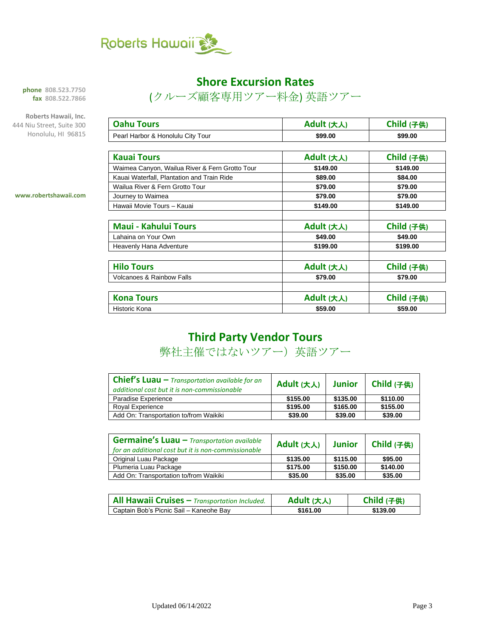

#### **Shore Excursion Rates**

(クルーズ顧客専用ツアー料金) 英語ツアー

**phone 808.523.7750 fax 808.522.7866**

**Roberts Hawaii, Inc.** 444 Niu Street, Suite 300 Honolulu, HI 96815

| <b>Oahu Tours</b>                              | Adult (大人) | Child (子供) |
|------------------------------------------------|------------|------------|
| Pearl Harbor & Honolulu City Tour              | \$99.00    | \$99.00    |
|                                                |            |            |
| <b>Kauai Tours</b>                             | Adult (大人) | Child (子供) |
| Waimea Canyon, Wailua River & Fern Grotto Tour | \$149.00   | \$149.00   |
| Kauai Waterfall, Plantation and Train Ride     | \$89.00    | \$84.00    |
| Wailua River & Fern Grotto Tour                | \$79.00    | \$79.00    |
| Journey to Waimea                              | \$79.00    | \$79.00    |
| Hawaii Movie Tours - Kauai                     | \$149.00   | \$149.00   |
|                                                |            |            |
| <b>Maui - Kahului Tours</b>                    | Adult (大人) | Child (子供) |
| Lahaina on Your Own                            | \$49.00    | \$49.00    |
| Heavenly Hana Adventure                        | \$199.00   | \$199.00   |
|                                                |            |            |
| <b>Hilo Tours</b>                              | Adult (大人) | Child (子供) |
| <b>Volcanoes &amp; Rainbow Falls</b>           | \$79.00    | \$79.00    |
|                                                |            |            |
| <b>Kona Tours</b>                              | Adult (大人) | Child (子供) |
| Historic Kona                                  | \$59.00    | \$59.00    |

**www.robertshawaii.com**

### **Third Party Vendor Tours**

弊社主催ではないツアー)英語ツアー

| <b>Chief's Luau</b> $-$ Transportation available for an<br>additional cost but it is non-commissionable | Adult (大人) | <b>Junior</b> | Child (子供) |
|---------------------------------------------------------------------------------------------------------|------------|---------------|------------|
| Paradise Experience                                                                                     | \$155.00   | \$135.00      | \$110.00   |
| Royal Experience                                                                                        | \$195.00   | \$165.00      | \$155.00   |
| Add On: Transportation to/from Waikiki                                                                  | \$39.00    | \$39.00       | \$39.00    |

| <b>Germaine's Luau - Transportation available</b><br>for an additional cost but it is non-commissionable | Adult (大人) | <b>Junior</b> | Child (子供) |
|----------------------------------------------------------------------------------------------------------|------------|---------------|------------|
| Original Luau Package                                                                                    | \$135.00   | \$115.00      | \$95.00    |
| Plumeria Luau Package                                                                                    | \$175.00   | \$150.00      | \$140.00   |
| Add On: Transportation to/from Waikiki                                                                   | \$35.00    | \$35.00       | \$35.00    |

| All Hawaii Cruises - Transportation Included. | Adult (大人) | Child (子供) |
|-----------------------------------------------|------------|------------|
| Captain Bob's Picnic Sail – Kaneohe Bay       | \$161.00   | \$139.00   |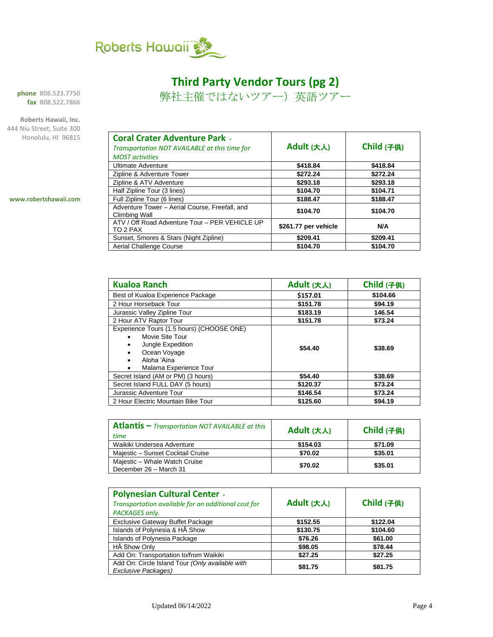

### **Third Party Vendor Tours (pg 2)**

弊社主催ではないツアー)英語ツアー

**phone 808.523.7750 fax 808.522.7866**

**Roberts Hawaii, Inc.** 444 Niu Street, Suite 300 Honolulu, HI 96815

**www.robertshawaii.com**

| Adult (大人)           | Child (子供)           |
|----------------------|----------------------|
|                      | \$418.84             |
|                      | \$272.24             |
|                      |                      |
| \$293.18             | \$293.18             |
| \$104.70             | \$104.71             |
| \$188.47             | \$188.47             |
| \$104.70             | \$104.70             |
| \$261.77 per vehicle | N/A                  |
| \$209.41             | \$209.41             |
| \$104.70             | \$104.70             |
|                      | \$418.84<br>\$272.24 |

| <b>Kualoa Ranch</b>                                                                                                                                                                                         | Adult (大人) | Child (子供) |
|-------------------------------------------------------------------------------------------------------------------------------------------------------------------------------------------------------------|------------|------------|
| Best of Kualoa Experience Package                                                                                                                                                                           | \$157.01   | \$104.66   |
| 2 Hour Horseback Tour                                                                                                                                                                                       | \$151.78   | \$94.19    |
| Jurassic Valley Zipline Tour                                                                                                                                                                                | \$183.19   | 146.54     |
| 2 Hour ATV Raptor Tour                                                                                                                                                                                      | \$151.78   | \$73.24    |
| Experience Tours (1.5 hours) (CHOOSE ONE)<br>Movie Site Tour<br>$\bullet$<br>Jungle Expedition<br>$\bullet$<br>Ocean Voyage<br>$\bullet$<br>Aloha 'Aina<br>$\bullet$<br>Malama Experience Tour<br>$\bullet$ | \$54.40    | \$38.69    |
| Secret Island (AM or PM) (3 hours)                                                                                                                                                                          | \$54.40    | \$38.69    |
| Secret Island FULL DAY (5 hours)                                                                                                                                                                            | \$120.37   | \$73.24    |
| Jurassic Adventure Tour                                                                                                                                                                                     | \$146.54   | \$73.24    |
| 2 Hour Electric Mountain Bike Tour                                                                                                                                                                          | \$125.60   | \$94.19    |

| Atlantis $-$ Transportation NOT AVAILABLE at this<br>time | Adult (大人) | Child (子供) |
|-----------------------------------------------------------|------------|------------|
| Waikiki Undersea Adventure                                | \$154.03   | \$71.09    |
| Majestic - Sunset Cocktail Cruise                         | \$70.02    | \$35.01    |
| Majestic - Whale Watch Cruise<br>December 26 - March 31   | \$70.02    | \$35.01    |

| <b>Polynesian Cultural Center -</b><br>Transportation available for an additional cost for<br>PACKAGES only. | Adult (大人) | Child (子供) |
|--------------------------------------------------------------------------------------------------------------|------------|------------|
| <b>Exclusive Gateway Buffet Package</b>                                                                      | \$152.55   | \$122.04   |
| Islands of Polynesia & HA Show                                                                               | \$130.75   | \$104.60   |
| <b>Islands of Polynesia Package</b>                                                                          | \$76.26    | \$61.00    |
| HĀ Show Only                                                                                                 | \$98.05    | \$78.44    |
| Add On: Transportation to/from Waikiki                                                                       | \$27.25    | \$27.25    |
| Add On: Circle Island Tour (Only available with<br><b>Exclusive Packages)</b>                                | \$81.75    | \$81.75    |